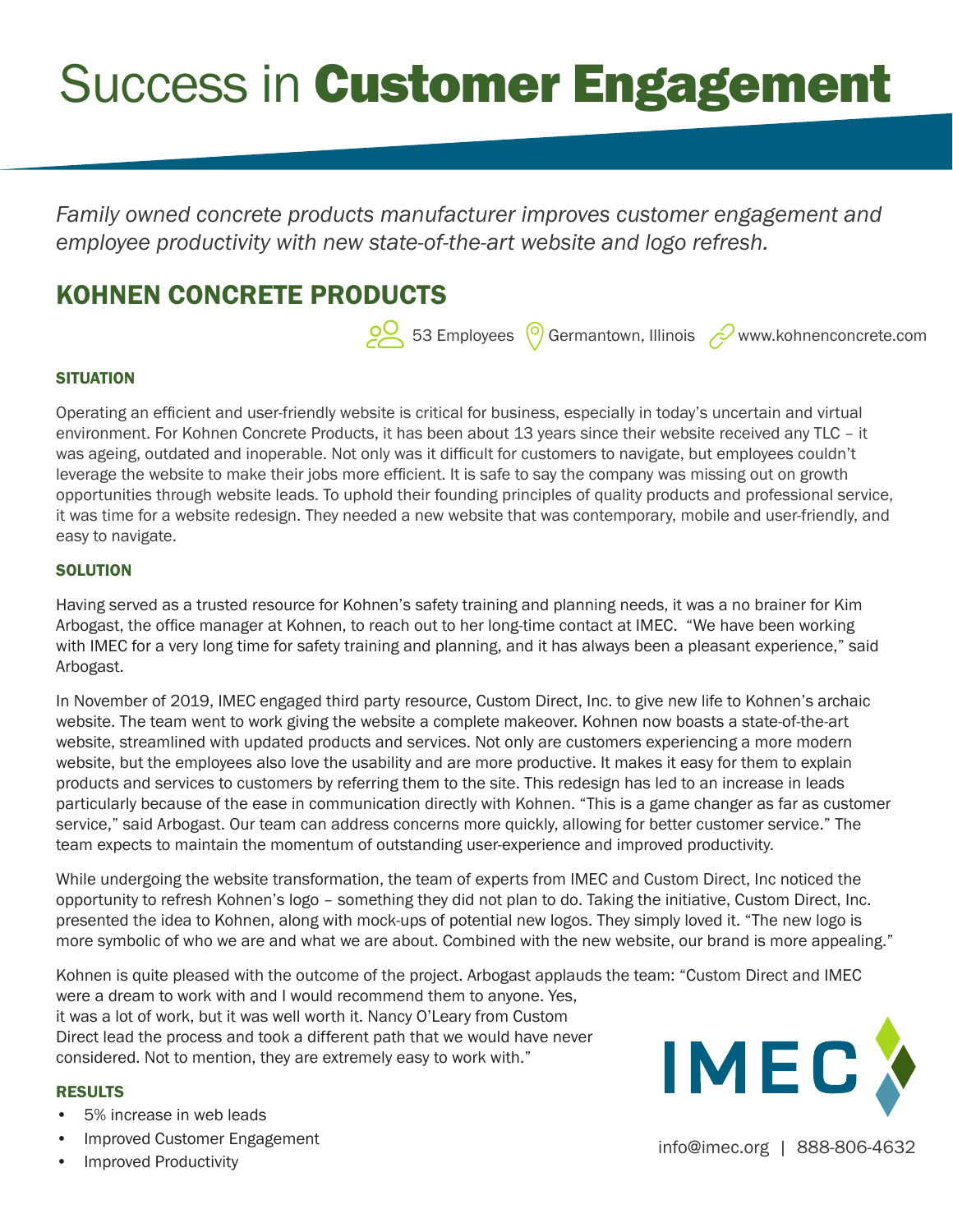# **Success in Customer Engagement**

*Family owned concrete products manufacturer improves customer engagement and employee productivity with new state-of-the-art website and logo refresh.*

# KOHNEN CONCRETE PRODUCTS

53 Employees  $\odot$  Germantown, Illinois  $\oslash$  www.kohnenconcrete.com

## **SITUATION**

Operating an efficient and user-friendly website is critical for business, especially in today's uncertain and virtual environment. For Kohnen Concrete Products, it has been about 13 years since their website received any TLC – it was ageing, outdated and inoperable. Not only was it difficult for customers to navigate, but employees couldn't leverage the website to make their jobs more efficient. It is safe to say the company was missing out on growth opportunities through website leads. To uphold their founding principles of quality products and professional service, it was time for a website redesign. They needed a new website that was contemporary, mobile and user-friendly, and easy to navigate.

### **SOLUTION**

Having served as a trusted resource for Kohnen's safety training and planning needs, it was a no brainer for Kim Arbogast, the office manager at Kohnen, to reach out to her long-time contact at IMEC. "We have been working with IMEC for a very long time for safety training and planning, and it has always been a pleasant experience," said Arbogast.

In November of 2019, IMEC engaged third party resource, Custom Direct, Inc. to give new life to Kohnen's archaic website. The team went to work giving the website a complete makeover. Kohnen now boasts a state-of-the-art website, streamlined with updated products and services. Not only are customers experiencing a more modern website, but the employees also love the usability and are more productive. It makes it easy for them to explain products and services to customers by referring them to the site. This redesign has led to an increase in leads particularly because of the ease in communication directly with Kohnen. "This is a game changer as far as customer service," said Arbogast. Our team can address concerns more quickly, allowing for better customer service." The team expects to maintain the momentum of outstanding user-experience and improved productivity.

While undergoing the website transformation, the team of experts from IMEC and Custom Direct, Inc noticed the opportunity to refresh Kohnen's logo – something they did not plan to do. Taking the initiative, Custom Direct, Inc. presented the idea to Kohnen, along with mock-ups of potential new logos. They simply loved it. "The new logo is more symbolic of who we are and what we are about. Combined with the new website, our brand is more appealing."

Kohnen is quite pleased with the outcome of the project. Arbogast applauds the team: "Custom Direct and IMEC were a dream to work with and I would recommend them to anyone. Yes, it was a lot of work, but it was well worth it. Nancy O'Leary from Custom Direct lead the process and took a different path that we would have never considered. Not to mention, they are extremely easy to work with."

### RESULTS

- 5% increase in web leads
- Improved Customer Engagement
-